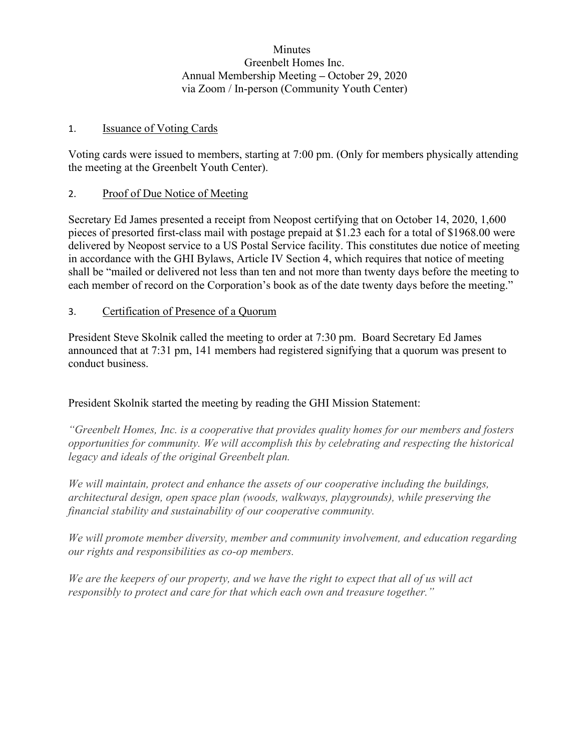**Minutes** Greenbelt Homes Inc. Annual Membership Meeting **–** October 29, 2020 via Zoom / In-person (Community Youth Center)

## 1. Issuance of Voting Cards

Voting cards were issued to members, starting at 7:00 pm. (Only for members physically attending the meeting at the Greenbelt Youth Center).

# 2. Proof of Due Notice of Meeting

Secretary Ed James presented a receipt from Neopost certifying that on October 14, 2020, 1,600 pieces of presorted first-class mail with postage prepaid at \$1.23 each for a total of \$1968.00 were delivered by Neopost service to a US Postal Service facility. This constitutes due notice of meeting in accordance with the GHI Bylaws, Article IV Section 4, which requires that notice of meeting shall be "mailed or delivered not less than ten and not more than twenty days before the meeting to each member of record on the Corporation's book as of the date twenty days before the meeting."

# 3. Certification of Presence of a Quorum

President Steve Skolnik called the meeting to order at 7:30 pm. Board Secretary Ed James announced that at 7:31 pm, 141 members had registered signifying that a quorum was present to conduct business.

# President Skolnik started the meeting by reading the GHI Mission Statement:

*"Greenbelt Homes, Inc. is a cooperative that provides quality homes for our members and fosters opportunities for community. We will accomplish this by celebrating and respecting the historical legacy and ideals of the original Greenbelt plan.*

*We will maintain, protect and enhance the assets of our cooperative including the buildings, architectural design, open space plan (woods, walkways, playgrounds), while preserving the financial stability and sustainability of our cooperative community.*

*We will promote member diversity, member and community involvement, and education regarding our rights and responsibilities as co-op members.*

*We are the keepers of our property, and we have the right to expect that all of us will act responsibly to protect and care for that which each own and treasure together."*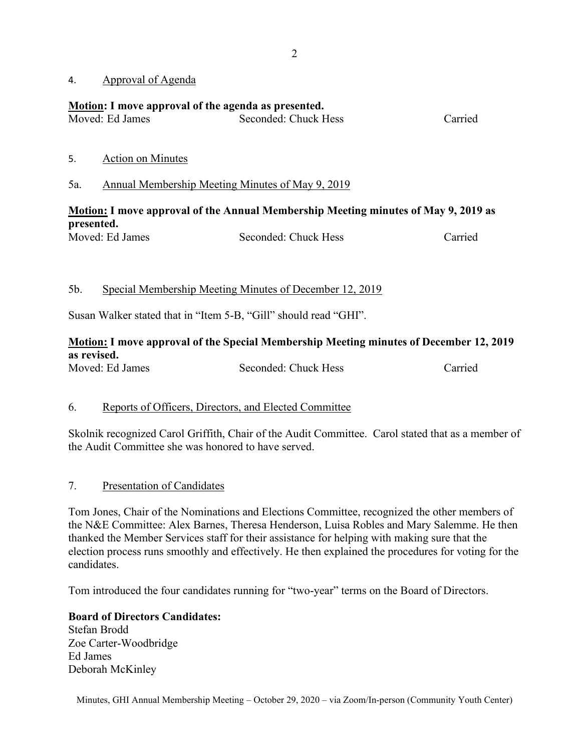4. Approval of Agenda

## **Motion: I move approval of the agenda as presented.**

| Moved: Ed James | Seconded: Chuck Hess | Carried |
|-----------------|----------------------|---------|

- 5. Action on Minutes
- 5a. Annual Membership Meeting Minutes of May 9, 2019

# **Motion: I move approval of the Annual Membership Meeting minutes of May 9, 2019 as presented.**

| Moved: Ed James | Seconded: Chuck Hess | Carried |
|-----------------|----------------------|---------|
|                 |                      |         |

## 5b. Special Membership Meeting Minutes of December 12, 2019

Susan Walker stated that in "Item 5-B, "Gill" should read "GHI".

# **Motion: I move approval of the Special Membership Meeting minutes of December 12, 2019 as revised.**

Moved: Ed James Seconded: Chuck Hess Carried

## 6. Reports of Officers, Directors, and Elected Committee

Skolnik recognized Carol Griffith, Chair of the Audit Committee. Carol stated that as a member of the Audit Committee she was honored to have served.

## 7. Presentation of Candidates

Tom Jones, Chair of the Nominations and Elections Committee, recognized the other members of the N&E Committee: Alex Barnes, Theresa Henderson, Luisa Robles and Mary Salemme. He then thanked the Member Services staff for their assistance for helping with making sure that the election process runs smoothly and effectively. He then explained the procedures for voting for the candidates.

Tom introduced the four candidates running for "two-year" terms on the Board of Directors.

**Board of Directors Candidates:** Stefan Brodd Zoe Carter-Woodbridge Ed James Deborah McKinley

Minutes, GHI Annual Membership Meeting – October 29, 2020 – via Zoom/In-person (Community Youth Center)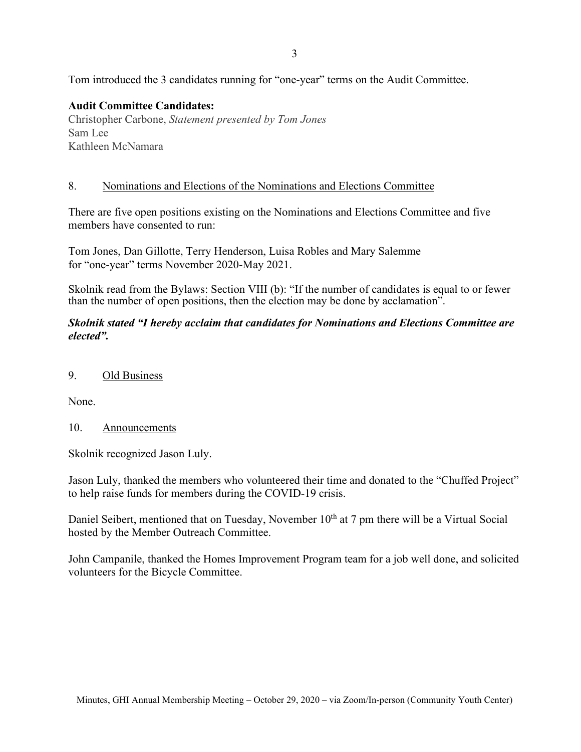3

Tom introduced the 3 candidates running for "one-year" terms on the Audit Committee.

# **Audit Committee Candidates:**

Christopher Carbone, *Statement presented by Tom Jones* Sam Lee Kathleen McNamara

#### 8. Nominations and Elections of the Nominations and Elections Committee

There are five open positions existing on the Nominations and Elections Committee and five members have consented to run:

Tom Jones, Dan Gillotte, Terry Henderson, Luisa Robles and Mary Salemme for "one-year" terms November 2020-May 2021.

Skolnik read from the Bylaws: Section VIII (b): "If the number of candidates is equal to or fewer than the number of open positions, then the election may be done by acclamation".

*Skolnik stated "I hereby acclaim that candidates for Nominations and Elections Committee are elected".*

#### 9. Old Business

None.

## 10. Announcements

Skolnik recognized Jason Luly.

Jason Luly, thanked the members who volunteered their time and donated to the "Chuffed Project" to help raise funds for members during the COVID-19 crisis.

Daniel Seibert, mentioned that on Tuesday, November 10<sup>th</sup> at 7 pm there will be a Virtual Social hosted by the Member Outreach Committee.

John Campanile, thanked the Homes Improvement Program team for a job well done, and solicited volunteers for the Bicycle Committee.